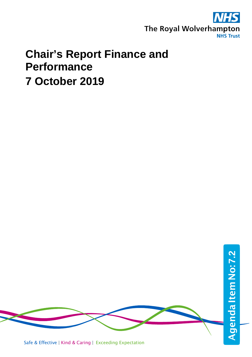

# **Chair's Report Finance and Performance 7 October 2019**



Safe & Effective | Kind & Caring | Exceeding Expectation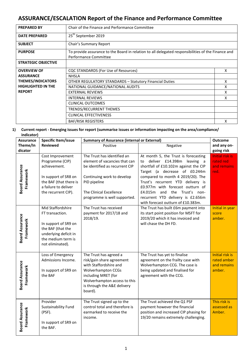## **ASSURANCE/ESCALATION Report of the Finance and Performance Committee**

| <b>PREPARED BY</b>         | Chair of the Finance and Performance Committee                                                                              |   |  |  |
|----------------------------|-----------------------------------------------------------------------------------------------------------------------------|---|--|--|
| <b>DATE PREPARED</b>       | 25 <sup>th</sup> September 2019                                                                                             |   |  |  |
| <b>SUBJECT</b>             | Chair's Summary Report                                                                                                      |   |  |  |
| <b>PURPOSE</b>             | To provide assurance to the Board in relation to all delegated responsibilities of the Finance and<br>Performance Committee |   |  |  |
| <b>STRATEGIC OBJECTIVE</b> |                                                                                                                             |   |  |  |
| <b>OVERVIEW OF</b>         | CQC STANDARDS (For Use of Resources)                                                                                        | x |  |  |
| <b>ASSURANCE</b>           | <b>NHSLA</b>                                                                                                                |   |  |  |
| <b>THEMES/INDICATORS</b>   | <b>OTHER REGULATORY STANDARDS - Statutory Financial Duties</b>                                                              | x |  |  |
| <b>HIGHLIGHTED IN THE</b>  | NATIONAL GUIDANCE/NATIONAL AUDITS                                                                                           | x |  |  |
| <b>REPORT</b>              | <b>EXTERNAL REVIEWS</b>                                                                                                     | x |  |  |
|                            | <b>INTERNAL REVIEWS</b>                                                                                                     | x |  |  |
|                            | <b>CLINICAL OUTCOMES</b>                                                                                                    |   |  |  |
|                            | TRENDS/RECURRENT THEMES                                                                                                     |   |  |  |
|                            | <b>CLINICAL EFFECTIVENESS</b>                                                                                               |   |  |  |
|                            | <b>BAF/RISK REGISTERS</b>                                                                                                   | x |  |  |

#### **1) Current report - Emerging issues for report (summarise issues or information impacting on the area/compliance/ indicator)**

| <b>Assurance</b>                    | Specific Item/issue                                                                                                                                  | <b>Summary of Assurance (internal or External)</b>                                                                                                                                                          | <b>Outcome</b>                                                                                                                                                                                                                                                                                                                                                                       |                                                                |
|-------------------------------------|------------------------------------------------------------------------------------------------------------------------------------------------------|-------------------------------------------------------------------------------------------------------------------------------------------------------------------------------------------------------------|--------------------------------------------------------------------------------------------------------------------------------------------------------------------------------------------------------------------------------------------------------------------------------------------------------------------------------------------------------------------------------------|----------------------------------------------------------------|
| Theme/In                            | <b>Reviewed</b>                                                                                                                                      | Positive                                                                                                                                                                                                    | Negative                                                                                                                                                                                                                                                                                                                                                                             | and any on-                                                    |
| dicator                             |                                                                                                                                                      |                                                                                                                                                                                                             |                                                                                                                                                                                                                                                                                                                                                                                      | going risk                                                     |
| <b>Board Assurance</b><br>Framework | Cost Improvement<br>Programme (CIP)<br>achievement.<br>In support of SR8 on<br>the BAF (that there is<br>a failure to deliver<br>the recurrent CIP). | The Trust has identified an<br>element of vacancies that can<br>be identified as recurrent CIP<br>Continuing work to develop<br>PID pipeline<br>The Clinical Excellence<br>programme is well supported.     | At month 5, the Trust is forecasting<br>deliver £14.398m<br>leaving<br>to<br>a<br>shortfall of £10.102m against the CIP<br>Target (a decrease of £0.244m<br>compared to month 4 2019/20). The<br>Trust's recurrent YTD delivery is<br>£0.977m with forecast outturn of<br>£4.015m<br>and the Trust's non-<br>recurrent YTD delivery is £2.656m<br>with forecast outturn of £10.383m. | <b>Initial risk is</b><br>rated red<br>and remains<br>red.     |
| <b>Board Assurance</b><br>Framework | Mid Staffordshire<br>FT transaction.<br>In support of SR9 on<br>the BAF (that the<br>underlying deficit in<br>the medium term is<br>not eliminated). | The Trust has received<br>payment for 2017/18 and<br>2018/19.                                                                                                                                               | The Trust has built £6m payment into<br>its start point position for MSFT for<br>2019/20 which it has invoiced and<br>will chase the DH FD.                                                                                                                                                                                                                                          | Initial in year<br>score<br>amber.                             |
| <b>Board Assurance</b><br>Framework | Loss of Emergency<br>Admissions Income.<br>In support of SR9 on<br>the BAF                                                                           | The Trust has agreed a<br>risk/gain share agreement<br>with Staffordshire and<br><b>Wolverhampton CCGs</b><br>including MRET (for<br>Wolverhampton access to this<br>is through the A&E delivery<br>board). | The Trust has yet to finalise<br>agreement on the frailty case with<br>Wolverhampton CCG. The case is<br>being updated and finalised for<br>agreement with the CCG.                                                                                                                                                                                                                  | <b>Initial risk is</b><br>rated amber<br>and remains<br>amber. |
| <b>Board Assurance</b><br>Framework | Provider<br>Sustainability Fund<br>(PSF).<br>In support of SR9 on<br>the BAF.                                                                        | The Trust signed up to the<br>control total and therefore is<br>earmarked to receive the<br>income.                                                                                                         | The Trust achieved the Q1 PSF<br>payment however the financial<br>position and increased CIP phasing for<br>19/20 remains extremely challenging.                                                                                                                                                                                                                                     | This risk is<br>assessed as<br>Amber.                          |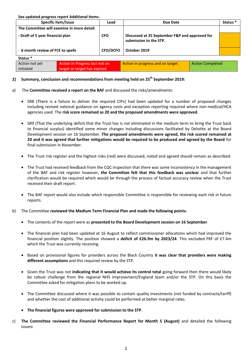**See updated progress report Additional Items:**

| Specific item/Issue                        |                               | Lead            | Due Date                                                                 |  | Status <sup>*</sup> |  |  |  |  |  |
|--------------------------------------------|-------------------------------|-----------------|--------------------------------------------------------------------------|--|---------------------|--|--|--|--|--|
| The Committee will examine in more detail: |                               |                 |                                                                          |  |                     |  |  |  |  |  |
| - Draft of 5 year financial plan           |                               | <b>CFO</b>      | Discussed at 25 September F&P and approved for<br>submission to the STP. |  |                     |  |  |  |  |  |
| - 6 month review of FCE to spells          |                               | <b>CFO/DCFO</b> | October 2019                                                             |  |                     |  |  |  |  |  |
| Status *                                   |                               |                 |                                                                          |  |                     |  |  |  |  |  |
| Action not yet                             | Action In Progress but not on |                 | Action in progress and on target<br><b>Action Completed</b>              |  |                     |  |  |  |  |  |
| initiated                                  | target or target has expired  |                 |                                                                          |  |                     |  |  |  |  |  |

### **2) Summary, conclusion and recommendations from meeting held on 25th September 2019:**

- a) The **Committee received a report on the BAF** and discussed the risks/amendments:
	- SR8 (There is a failure to deliver the required CIPs) had been updated for a number of proposed changes including revised national guidance on agency costs and exception reporting required where non-medical/HCA agencies used. The **risk score remained as 20 and the proposed amendments were approved**.
	- SR9 (That the underlying deficit that the Trust has is not eliminated in the medium term to bring the Trust back to financial surplus) identified some minor changes including discussions facilitated by Deloitte at the Board Development session on 16 September. **The proposed amendments were agreed, the risk scored remained at 20 and it was agreed that further mitigations would be required to be produced and agreed by the Board** for final submission in November.
	- The Trust risk register and the highest risks (red) were discussed, noted and agreed should remain as described.
	- The Trust had received feedback from the CQC inspection that there was some inconsistency in the management of the BAF and risk register however, **the Committee felt that this feedback was unclear** and that further clarification would be required which would be through the process of factual accuracy review when the Trust received their draft report.
	- The BAF report would also include which responsible Committee is responsible for reviewing each risk in future reports.
- b) The Committee **reviewed the Medium Term Financial Plan and made the following points:**
	- The contents of the report were as **presented to the Board Development session on 16 September**.
	- The financial plan had been updated at 16 August to reflect commissioner allocations which had improved the financial position slightly. The position showed a **deficit of £26.9m by 2023/24**. This excluded FRF of £7.4m which the Trust was currently receiving.
	- **Based on provisional figures for providers across the Black Country it was clear that providers were making different assumptions** and this required review by the STP.
	- Given the Trust was not **indicating that it would achieve its control total** going forward then there would likely be robust challenge from the regional NHS Improvement/England team and/or the STP. On this basis the Committee asked for mitigation plans to be worked up.
	- The Committee discussed where it was possible to contain quality investments (not funded by contracts/tariff) and whether the cost of additional activity could be performed at better marginal rates.
	- **The financial figures were approved for submission to the STP**.
- c) **The Committee reviewed the Financial Performance Report for Month 5 (August)** and detailed the following issues**:**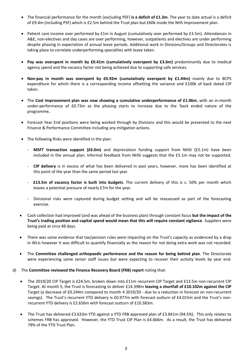- The financial performance for the month (excluding PSF) **is a deficit of £1.3m**. The year to date actual is a deficit of £9.4m (including PSF) which is £2.5m behind the Trust plan but £60k inside the NHS Improvement plan.
- Patient care income over performed by £1m in August (cumulatively over performed by £3.5m). Attendances in A&E, non-electives and day cases are over performing, however, outpatients and electives are under performing despite phasing in expectation of annual leave periods. Additional work in Divisions/Groups and Directorates is taking place to correlate underperforming specialties with leave taken.
- **Pay was overspent in month by £0.41m (cumulatively overspent by £3.6m)** predominantly due to medical agency spend and the vacancy factor not being achieved due to supporting safe services.
- **Non-pay in month was overspent by £0.92m (cumulatively overspent by £1.44m)** mainly due to BCPS expenditure for which there is a corresponding income offsetting the variance and £100k of back dated CIP taken.
- The **Cost Improvement plan was now showing a cumulative underperformance of £1.06m**, with an in-month under-performance of £0.73m as the phasing starts to increase due to the 'back ended nature of the programme**.**
- Forecast Year End positions were being worked through by Divisions and this would be presented to the next Finance & Performance Committee including any mitigation actions.
- The following Risks were identified in the plan:
	- **MSFT transaction support (£6.0m)** and depreciation funding support from NHSI (£5.1m) have been included in the annual plan. Informal feedback from NHSI suggests that the £5.1m may not be supported.
	- **CIP delivery** is in excess of what has been delivered in past years, however, more has been identified at this point of the year than the same period last year.
	- **£13.5m of vacancy factor is built into budgets**. The current delivery of this is c. 50% per month which leaves a potential pressure of nearly £7m for the year.
	- Divisional risks were captured during budget setting and will be reassessed as part of the forecasting exercise.
- Cash collection had improved (and was ahead of the business plan) through constant focus **but the impact of the Trust's trading position and capital spend would mean that this will require constant vigilance**. Suppliers were being paid at circa 48 days.
- There was some evidence that tax/pension rules were impacting on the Trust's capacity as evidenced by a drop in WLIs however it was difficult to quantify financially as the reason for not doing extra work was not recorded.
- The **Committee challenged orthopaedic performance and the reason for being behind plan**. The Directorate were experiencing some senior staff issues but were expecting to recover their activity levels by year end.
- d) The **Committee reviewed the Finance Recovery Board (FRB) report** noting that:
	- The 2019/20 CIP Target is £24.5m, broken down into £11m recurrent CIP Target and £13.5m non-recurrent CIP Target. At month 5, the Trust is forecasting to deliver £14.398m **leaving a shortfall of £10.102m against the CIP** Target (a decrease of £0.244m compared to month 4 2019/20 - due to a reduction in forecast on non-recurrent savings). The Trust's recurrent YTD delivery is £0.977m with forecast outturn of £4.015m and the Trust's nonrecurrent YTD delivery is £2.656m with forecast outturn of £10.383m.
	- The Trust has delivered £3.633m YTD against a YTD FRB approved plan of £3.841m (94.5%). This only relates to schemes FRB has approved. However, the YTD Trust CIP Plan is £4.666m. As a result, the Trust has delivered 78% of the YTD Trust Plan.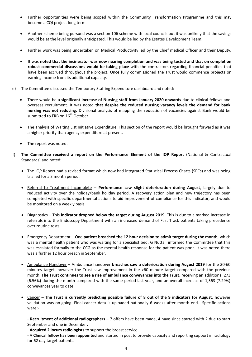- Further opportunities were being scoped within the Community Transformation Programme and this may become a CQI project long term.
- Another scheme being pursued was a section 106 scheme with local councils but it was unlikely that the savings would be at the level originally anticipated. This would be led by the Estates Development Team.
- Further work was being undertaken on Medical Productivity led by the Chief medical Officer and their Deputy.
- It was **noted that the incinerator was now nearing completion and was being tested and that on completion robust commercial discussions would be taking place** with the contractors regarding financial penalties that have been accrued throughout the project. Once fully commissioned the Trust would commence projects on earning income from its additional capacity.
- e) The Committee discussed the Temporary Staffing Expenditure dashboard and noted:
	- There would be a **significant increase of Nursing staff from January 2020 onwards** due to clinical fellows and overseas recruitment. It was noted **that despite the reduced nursing vacancy levels the demand for bank nursing was not reducing**. Divisional analysis of mapping the reduction of vacancies against Bank would be submitted to FRB on  $16^{th}$  October.
	- The analysis of Waiting List Initiative Expenditure. This section of the report would be brought forward as it was a higher priority than agency expenditure at present.
	- The report was noted.
- f) **The Committee received a report on the Performance Element of the IQP Report** (National & Contractual Standards) and noted:
	- The IQP Report had a revised format which now had integrated Statistical Process Charts (SPCs) and was being trialled for a 3 month period.
	- Referral to Treatment Incomplete Performance saw slight deterioration during August, largely due to reduced activity over the holiday/bank holiday period. A recovery action plan and new trajectory has been completed with specific departmental actions to aid improvement of compliance for this indicator, and would be monitored on a weekly basis.
	- Diagnostics This **indicator dropped below the target during August 2019**. This is due to a marked increase in referrals into the Endoscopy Department with an increased demand of Fast Track patients taking precedence over routine tests.
	- Emergency Department One **patient breached the 12 hour decision to admit target during the month**, which was a mental health patient who was waiting for a specialist bed. G Nuttall informed the Committee that this was escalated formally to the CCG as the mental health response for the patient was poor. It was noted there was a further 12 hour breach in September.
	- Ambulance Handover Ambulance handover **breaches saw a deterioration during August 2019** for the 30-60 minutes target, however the Trust saw improvement in the >60 minute target compared with the previous month. **The Trust continues to see a rise of ambulance conveyances into the Trust**, receiving an additional 273 (6.56%) during the month compared with the same period last year, and an overall increase of 1,563 (7.29%) conveyances year to date.
	- Cancer **The Trust is currently predicting possible failure of 8 out of the 9 indicators for August**, however validation was on-going. Final cancer data is uploaded nationally 6 weeks after month end. Specific actions were:-

- **Recruitment of additional radiographers** – 7 offers have been made, 4 have since started with 2 due to start September and one in December.

- **Acquired 2 locum radiologists** to support the breast service.

- A **Clinical fellow has been appointed** and started in post to provide capacity and reporting support in radiology for 62 day target patients.